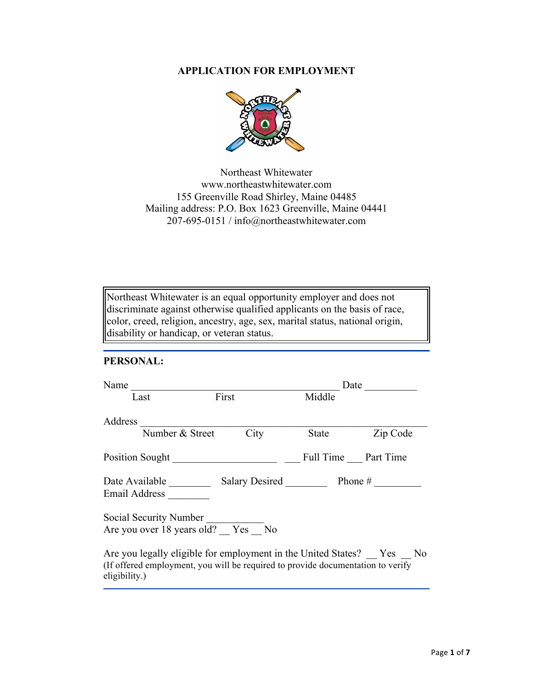## **APPLICATION FOR EMPLOYMENT**



Northeast Whitewater www.northeastwhitewater.com 155 Greenville Road Shirley, Maine 04485 Mailing address: P.O. Box 1623 Greenville, Maine 04441 207-695-0151 / info@northeastwhitewater.com

Northeast Whitewater is an equal opportunity employer and does not discriminate against otherwise qualified applicants on the basis of race, color, creed, religion, ancestry, age, sex, marital status, national origin, disability or handicap, or veteran status.

### **PERSONAL:**

| Name                                                                                                                                                                     |       |                     |          |
|--------------------------------------------------------------------------------------------------------------------------------------------------------------------------|-------|---------------------|----------|
| Last                                                                                                                                                                     | First | Middle              |          |
| Address                                                                                                                                                                  |       |                     |          |
| Number & Street                                                                                                                                                          | City  | State               | Zip Code |
| Position Sought                                                                                                                                                          |       | Full Time Part Time |          |
| Email Address                                                                                                                                                            |       |                     |          |
| Social Security Number<br>Are you over 18 years old? Yes No                                                                                                              |       |                     |          |
| Are you legally eligible for employment in the United States? Yes No<br>(If offered employment, you will be required to provide documentation to verify<br>eligibility.) |       |                     |          |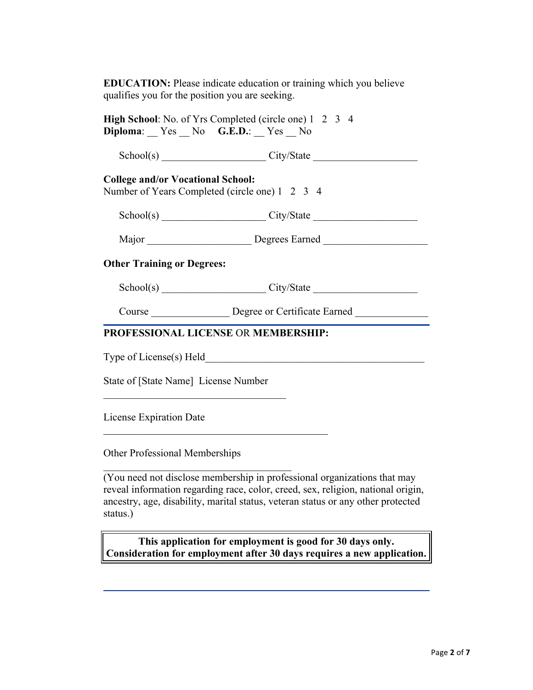**EDUCATION:** Please indicate education or training which you believe qualifies you for the position you are seeking.

| Diploma: Yes No G.E.D.: Yes No                                                             | <b>High School:</b> No. of Yrs Completed (circle one) 1 2 3 4                    |  |
|--------------------------------------------------------------------------------------------|----------------------------------------------------------------------------------|--|
|                                                                                            | $Sthool(s)$ $City/State$ $City/State$                                            |  |
| <b>College and/or Vocational School:</b><br>Number of Years Completed (circle one) 1 2 3 4 |                                                                                  |  |
|                                                                                            | School(s) City/State City/State                                                  |  |
|                                                                                            | Major _______________________________Degrees Earned ____________________________ |  |
| <b>Other Training or Degrees:</b>                                                          |                                                                                  |  |
|                                                                                            | $Sthool(s)$ $City/State$ $City/State$                                            |  |
|                                                                                            | Course __________________ Degree or Certificate Earned _________________________ |  |
| <b>PROFESSIONAL LICENSE OR MEMBERSHIP:</b>                                                 |                                                                                  |  |
|                                                                                            |                                                                                  |  |
| State of [State Name] License Number                                                       |                                                                                  |  |

License Expiration Date \_\_\_\_\_\_\_\_\_\_\_\_\_\_\_\_\_\_\_\_\_\_\_\_\_\_\_\_\_\_\_\_\_\_\_\_\_\_\_\_\_\_\_

Other Professional Memberships

 $\mathcal{L}_\text{max}$  , and the set of the set of the set of the set of the set of the set of the set of the set of the set of the set of the set of the set of the set of the set of the set of the set of the set of the set of the

(You need not disclose membership in professional organizations that may reveal information regarding race, color, creed, sex, religion, national origin, ancestry, age, disability, marital status, veteran status or any other protected status.)

**This application for employment is good for 30 days only. Consideration for employment after 30 days requires a new application.**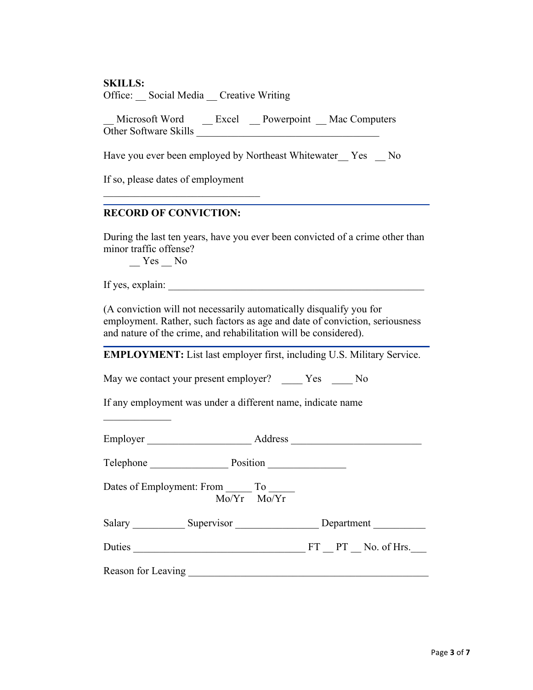#### **SKILLS:**

Office: Social Media Creative Writing

Microsoft Word \_\_ Excel \_\_ Powerpoint \_\_ Mac Computers Other Software Skills

Have you ever been employed by Northeast Whitewater Yes No

If so, please dates of employment

 $\mathcal{L}_\text{max}$  , and the set of the set of the set of the set of the set of the set of the set of the set of the set of the set of the set of the set of the set of the set of the set of the set of the set of the set of the

# **RECORD OF CONVICTION:**

During the last ten years, have you ever been convicted of a crime other than minor traffic offense?

Yes No

If yes, explain:

 $\frac{1}{2}$ 

(A conviction will not necessarily automatically disqualify you for employment. Rather, such factors as age and date of conviction, seriousness and nature of the crime, and rehabilitation will be considered).

**EMPLOYMENT:** List last employer first, including U.S. Military Service.

May we contact your present employer? Yes No

If any employment was under a different name, indicate name

| Employer  | Address     |  |
|-----------|-------------|--|
|           |             |  |
| Talanhana | $D$ osition |  |

Telephone \_\_\_\_\_\_\_\_\_\_\_\_\_\_\_ Position \_\_\_\_\_\_\_\_\_\_\_\_\_\_\_

Dates of Employment: From \_\_\_\_\_\_ To \_\_\_\_\_ Mo/Yr Mo/Yr

| Salary | Supervisor | Department |
|--------|------------|------------|
|        |            |            |

Duties FT PT No. of Hrs.

Reason for Leaving \_\_\_\_\_\_\_\_\_\_\_\_\_\_\_\_\_\_\_\_\_\_\_\_\_\_\_\_\_\_\_\_\_\_\_\_\_\_\_\_\_\_\_\_\_\_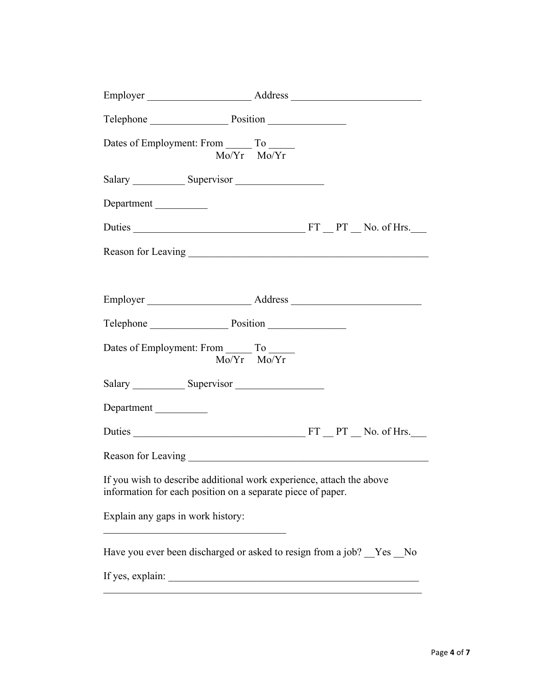| Telephone Position                                           |                                                                       |
|--------------------------------------------------------------|-----------------------------------------------------------------------|
| Dates of Employment: From ________ To _______<br>Mo/Yr Mo/Yr |                                                                       |
|                                                              |                                                                       |
| Department                                                   |                                                                       |
|                                                              |                                                                       |
|                                                              |                                                                       |
|                                                              |                                                                       |
|                                                              |                                                                       |
| Telephone Position                                           |                                                                       |
| Dates of Employment: From ________ To ______                 | $Mo/Yr$ $Mo/Yr$                                                       |
|                                                              |                                                                       |
| Department                                                   |                                                                       |
|                                                              |                                                                       |
|                                                              |                                                                       |
| information for each position on a separate piece of paper.  | If you wish to describe additional work experience, attach the above  |
| Explain any gaps in work history:                            |                                                                       |
|                                                              | Have you ever been discharged or asked to resign from a job? _Yes _No |
| If yes, explain:                                             |                                                                       |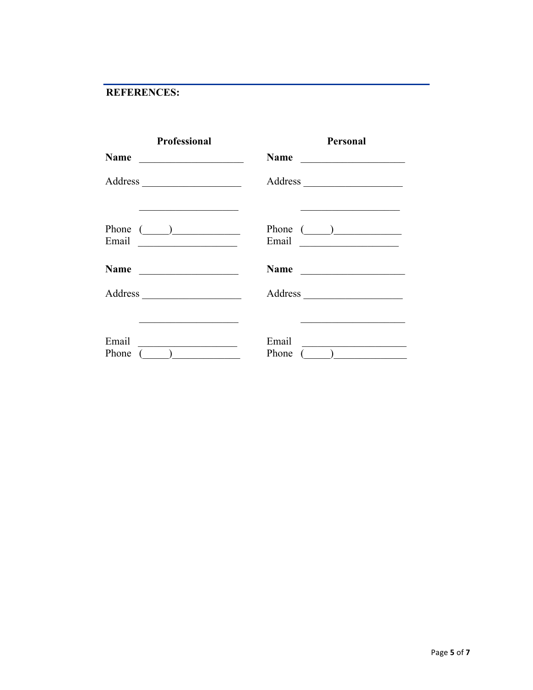# REFERENCES:

| <b>Professional</b>                                                       | <b>Personal</b>                                               |
|---------------------------------------------------------------------------|---------------------------------------------------------------|
| <b>Name</b><br><u> 1980 - Johann Barnett, fransk politik (</u>            | Name                                                          |
|                                                                           |                                                               |
| Phone $(\_\_)$                                                            | Phone $(\_)$                                                  |
|                                                                           | Name                                                          |
|                                                                           |                                                               |
| Email<br>$\overline{(\hspace{0.5cm}\underline{\hspace{0.5cm}})}$<br>Phone | Email<br>$\overline{(\begin{array}{c} \end{array})}$<br>Phone |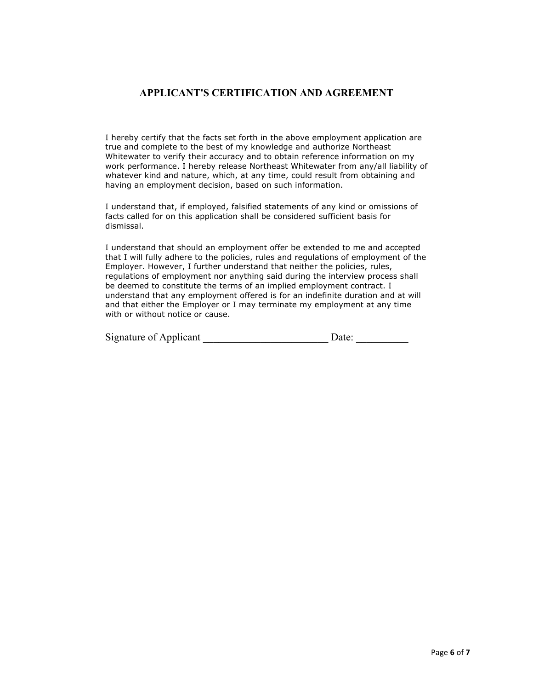## **APPLICANT'S CERTIFICATION AND AGREEMENT**

I hereby certify that the facts set forth in the above employment application are true and complete to the best of my knowledge and authorize Northeast Whitewater to verify their accuracy and to obtain reference information on my work performance. I hereby release Northeast Whitewater from any/all liability of whatever kind and nature, which, at any time, could result from obtaining and having an employment decision, based on such information.

I understand that, if employed, falsified statements of any kind or omissions of facts called for on this application shall be considered sufficient basis for dismissal.

I understand that should an employment offer be extended to me and accepted that I will fully adhere to the policies, rules and regulations of employment of the Employer. However, I further understand that neither the policies, rules, regulations of employment nor anything said during the interview process shall be deemed to constitute the terms of an implied employment contract. I understand that any employment offered is for an indefinite duration and at will and that either the Employer or I may terminate my employment at any time with or without notice or cause.

| Signature of Applicant | Date: |  |
|------------------------|-------|--|
|                        |       |  |